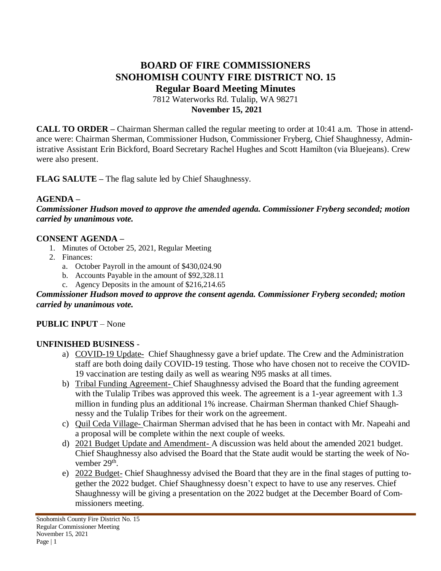# **BOARD OF FIRE COMMISSIONERS SNOHOMISH COUNTY FIRE DISTRICT NO. 15 Regular Board Meeting Minutes**

7812 Waterworks Rd. Tulalip, WA 98271 **November 15, 2021**

**CALL TO ORDER –** Chairman Sherman called the regular meeting to order at 10:41 a.m. Those in attendance were: Chairman Sherman, Commissioner Hudson, Commissioner Fryberg, Chief Shaughnessy, Administrative Assistant Erin Bickford, Board Secretary Rachel Hughes and Scott Hamilton (via Bluejeans). Crew were also present.

**FLAG SALUTE –** The flag salute led by Chief Shaughnessy.

## **AGENDA –**

*Commissioner Hudson moved to approve the amended agenda. Commissioner Fryberg seconded; motion carried by unanimous vote.*

#### **CONSENT AGENDA –**

- 1. Minutes of October 25, 2021, Regular Meeting
- 2. Finances:
	- a. October Payroll in the amount of \$430,024.90
	- b. Accounts Payable in the amount of \$92,328.11
	- c. Agency Deposits in the amount of \$216,214.65

#### *Commissioner Hudson moved to approve the consent agenda. Commissioner Fryberg seconded; motion carried by unanimous vote.*

#### **PUBLIC INPUT** – None

#### **UNFINISHED BUSINESS** -

- a) COVID-19 Update- Chief Shaughnessy gave a brief update. The Crew and the Administration staff are both doing daily COVID-19 testing. Those who have chosen not to receive the COVID-19 vaccination are testing daily as well as wearing N95 masks at all times.
- b) Tribal Funding Agreement- Chief Shaughnessy advised the Board that the funding agreement with the Tulalip Tribes was approved this week. The agreement is a 1-year agreement with 1.3 million in funding plus an additional 1% increase. Chairman Sherman thanked Chief Shaughnessy and the Tulalip Tribes for their work on the agreement.
- c) Quil Ceda Village- Chairman Sherman advised that he has been in contact with Mr. Napeahi and a proposal will be complete within the next couple of weeks.
- d) 2021 Budget Update and Amendment- A discussion was held about the amended 2021 budget. Chief Shaughnessy also advised the Board that the State audit would be starting the week of November 29<sup>th</sup>.
- e) 2022 Budget- Chief Shaughnessy advised the Board that they are in the final stages of putting together the 2022 budget. Chief Shaughnessy doesn't expect to have to use any reserves. Chief Shaughnessy will be giving a presentation on the 2022 budget at the December Board of Commissioners meeting.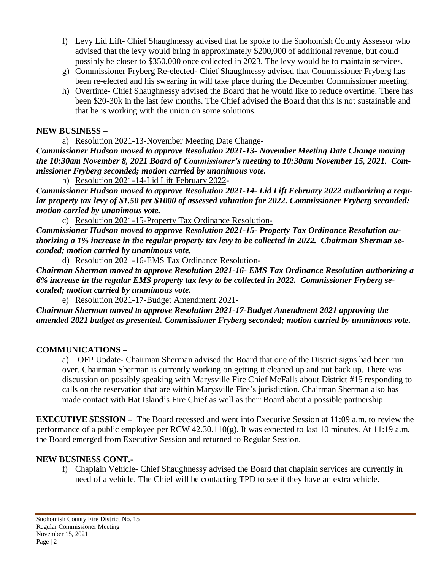- f) Levy Lid Lift- Chief Shaughnessy advised that he spoke to the Snohomish County Assessor who advised that the levy would bring in approximately \$200,000 of additional revenue, but could possibly be closer to \$350,000 once collected in 2023. The levy would be to maintain services.
- g) Commissioner Fryberg Re-elected- Chief Shaughnessy advised that Commissioner Fryberg has been re-elected and his swearing in will take place during the December Commissioner meeting.
- h) Overtime- Chief Shaughnessy advised the Board that he would like to reduce overtime. There has been \$20-30k in the last few months. The Chief advised the Board that this is not sustainable and that he is working with the union on some solutions.

## **NEW BUSINESS –**

a) Resolution 2021-13-November Meeting Date Change-

*Commissioner Hudson moved to approve Resolution 2021-13- November Meeting Date Change moving the 10:30am November 8, 2021 Board of Commissioner's meeting to 10:30am November 15, 2021. Commissioner Fryberg seconded; motion carried by unanimous vote.*

b) Resolution 2021-14-Lid Lift February 2022-

*Commissioner Hudson moved to approve Resolution 2021-14- Lid Lift February 2022 authorizing a regular property tax levy of \$1.50 per \$1000 of assessed valuation for 2022. Commissioner Fryberg seconded; motion carried by unanimous vote.*

c) Resolution 2021-15-Property Tax Ordinance Resolution-

*Commissioner Hudson moved to approve Resolution 2021-15- Property Tax Ordinance Resolution authorizing a 1% increase in the regular property tax levy to be collected in 2022. Chairman Sherman seconded; motion carried by unanimous vote.*

d) Resolution 2021-16-EMS Tax Ordinance Resolution-

*Chairman Sherman moved to approve Resolution 2021-16- EMS Tax Ordinance Resolution authorizing a 6% increase in the regular EMS property tax levy to be collected in 2022. Commissioner Fryberg seconded; motion carried by unanimous vote.*

e) Resolution 2021-17-Budget Amendment 2021-

*Chairman Sherman moved to approve Resolution 2021-17-Budget Amendment 2021 approving the amended 2021 budget as presented. Commissioner Fryberg seconded; motion carried by unanimous vote.*

# **COMMUNICATIONS –**

a) OFP Update- Chairman Sherman advised the Board that one of the District signs had been run over. Chairman Sherman is currently working on getting it cleaned up and put back up. There was discussion on possibly speaking with Marysville Fire Chief McFalls about District #15 responding to calls on the reservation that are within Marysville Fire's jurisdiction. Chairman Sherman also has made contact with Hat Island's Fire Chief as well as their Board about a possible partnership.

**EXECUTIVE SESSION –** The Board recessed and went into Executive Session at 11:09 a.m. to review the performance of a public employee per RCW 42.30.110(g). It was expected to last 10 minutes. At 11:19 a.m. the Board emerged from Executive Session and returned to Regular Session.

# **NEW BUSINESS CONT.-**

f) Chaplain Vehicle- Chief Shaughnessy advised the Board that chaplain services are currently in need of a vehicle. The Chief will be contacting TPD to see if they have an extra vehicle.